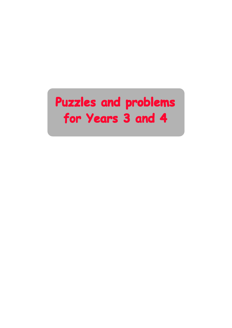# **Puzzles and problems Puzzles and problems Puzzles and problems for Years 3 and 4 for Years 3 and 4**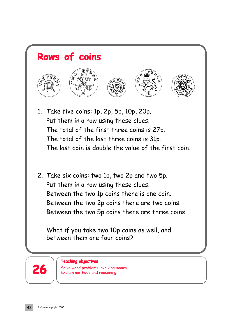

- 1. Take five coins: 1p, 2p, 5p, 10p, 20p. Put them in a row using these clues. The total of the first three coins is 27p. The total of the last three coins is 31p. The last coin is double the value of the first coin.
- 2. Take six coins: two 1p, two 2p and two 5p. Put them in a row using these clues. Between the two 1p coins there is one coin. Between the two 2p coins there are two coins. Between the two 5p coins there are three coins.

What if you take two 10p coins as well, and between them are four coins?



### **Teaching objectives**

26 | Solve word problems involving money.<br>**26** Explain methods and reasoning.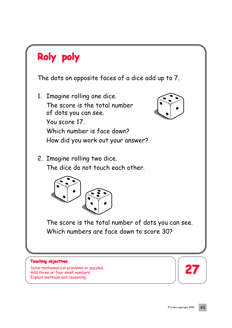## **Roly poly Roly poly**

The dots on opposite faces of a dice add up to 7.

1. Imagine rolling one dice. The score is the total number of dots you can see. You score 17. Which number is face down? How did you work out your answer?



2. Imagine rolling two dice. The dice do not touch each other.



The score is the total number of dots you can see. Which numbers are face down to score 30?

## **Teaching objectives**

Solve mathematical problems or puzzles. Add three or four small numbers. Explain methods and reasoning.

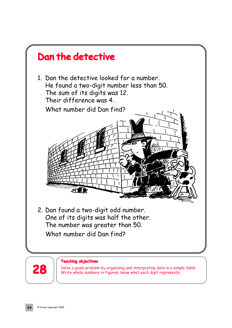



### **Teaching objectives**

Solve a given problem by organising and interpreting data in a simple table.<br>**28** Write whole numbers in figures; know what each digit represents.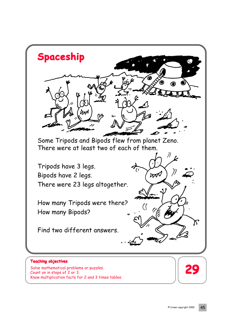

Solve mathematical problems or puzzles. Count on in steps of 2 or 3. Know multiplication facts for 2 and 3 times tables.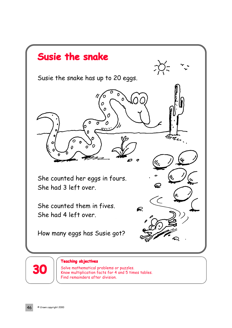

Solve mathematical problems or puzzles. Know multiplication facts for 4 and 5 times tables. Find remainders after division.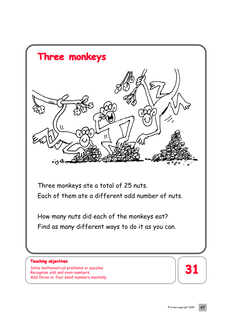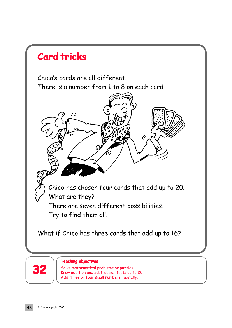



### **Teaching objectives**

Solve mathematical problems or puzzles. Know addition and subtraction facts up to 20. Add three or four small numbers mentally.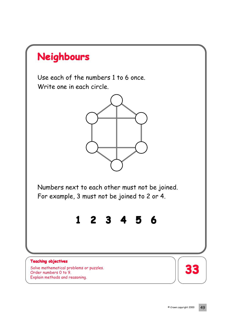

Use each of the numbers 1 to 6 once. Write one in each circle.



Numbers next to each other must not be joined. For example, 3 must not be joined to 2 or 4.

**1 2 3 4 5 6**

## **Teaching objectives**

Solve mathematical problems or puzzles. Order numbers 0 to 9. Explain methods and reasoning.

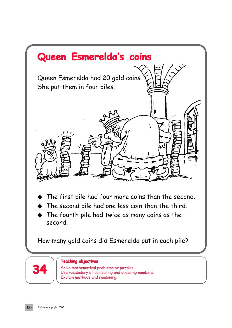

The fourth pile had twice as many coins as the second.

How many gold coins did Esmerelda put in each pile?



## **Teaching objectives**

Solve mathematical problems or puzzles. Use vocabulary of comparing and ordering numbers. Explain methods and reasoning.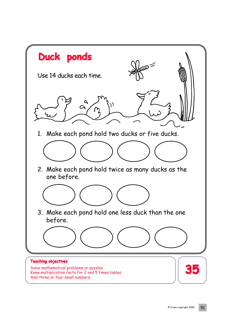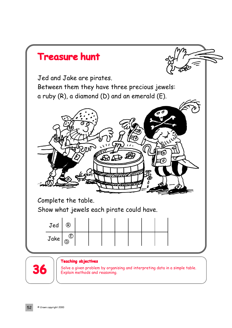

Solve a given problem by organising and interpreting data in a simple table.<br> **36** Explain methods and reasoning.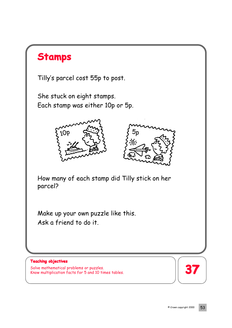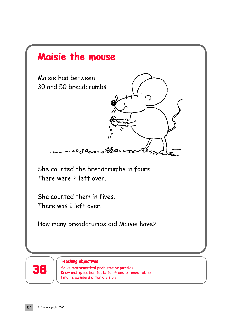



### **Teaching objectives**

Solve mathematical problems or puzzles. Know multiplication facts for 4 and 5 times tables. Find remainders after division.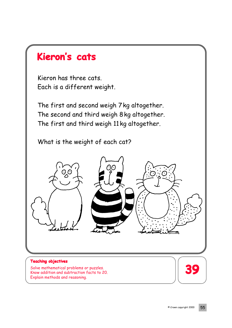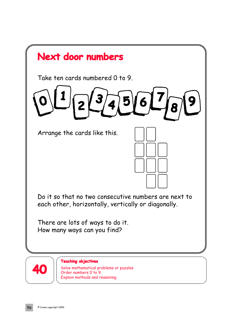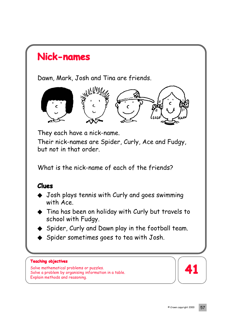## **Nick-names Nick-names**

Dawn, Mark, Josh and Tina are friends.



They each have a nick-name. Their nick-names are Spider, Curly, Ace and Fudgy, but not in that order.

What is the nick-name of each of the friends?

## **Clues**

- ◆ Josh plays tennis with Curly and goes swimming with Ace.
- ◆ Tina has been on holiday with Curly but travels to school with Fudgy.
- Spider, Curly and Dawn play in the football team.
- Spider sometimes goes to tea with Josh.

## **Teaching objectives**

Solve mathematical problems or puzzles. Solve a problem by organising information in a table. Explain methods and reasoning.

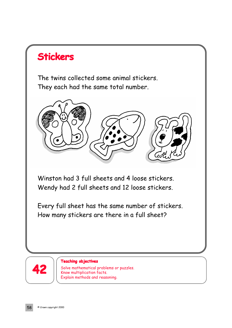## **Stickers Stickers**

The twins collected some animal stickers. They each had the same total number.



Winston had 3 full sheets and 4 loose stickers. Wendy had 2 full sheets and 12 loose stickers.

Every full sheet has the same number of stickers. How many stickers are there in a full sheet?



### **Teaching objectives**

Solve mathematical problems or puzzles. Know multiplication facts. Explain methods and reasoning.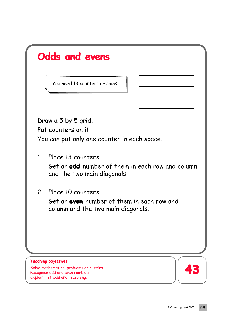| <b>Odds and evens</b>                                                                                           |  |  |  |  |  |
|-----------------------------------------------------------------------------------------------------------------|--|--|--|--|--|
| You need 13 counters or coins.                                                                                  |  |  |  |  |  |
|                                                                                                                 |  |  |  |  |  |
| Draw a 5 by 5 grid.                                                                                             |  |  |  |  |  |
| Put counters on it.                                                                                             |  |  |  |  |  |
| You can put only one counter in each space.                                                                     |  |  |  |  |  |
| 1. Place 13 counters.<br>Get an <b>odd</b> number of them in each row and column<br>and the two main diagonals. |  |  |  |  |  |
| 2. Place 10 counters.<br>Get an even number of them in each row and<br>column and the two main diagonals.       |  |  |  |  |  |
|                                                                                                                 |  |  |  |  |  |
| <b>Teaching objectives</b><br>Solve mathematical problems or puzzles.                                           |  |  |  |  |  |
| Recognise odd and even numbers.<br>Explain methods and reasoning.                                               |  |  |  |  |  |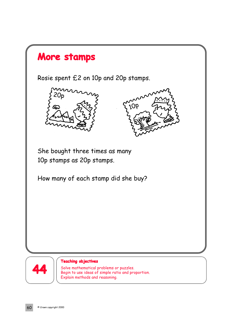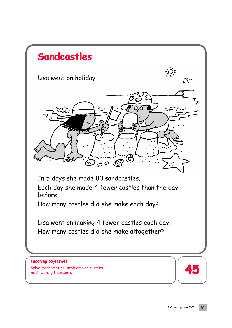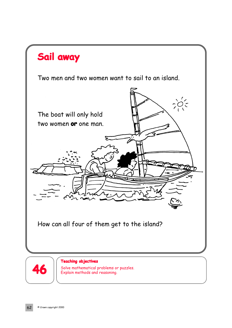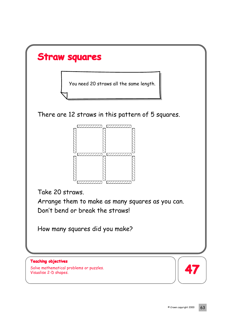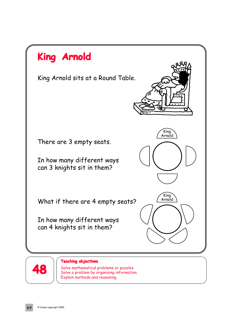

Solve mathematical problems or puzzles. Solve a problem by organising information. Explain methods and reasoning.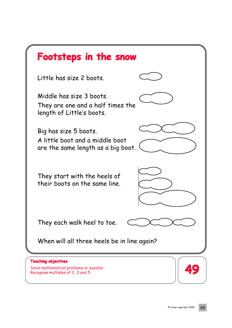| Footsteps in the snow                                                                                       |  |  |  |  |  |  |
|-------------------------------------------------------------------------------------------------------------|--|--|--|--|--|--|
| Little has size 2 boots.                                                                                    |  |  |  |  |  |  |
| Middle has size 3 boots.<br>They are one and a half times the<br>length of Little's boots.                  |  |  |  |  |  |  |
| Big has size 5 boots.<br>A little boot and a middle boot<br>are the same length as a big boot.              |  |  |  |  |  |  |
| They start with the heels of<br>their boots on the same line.                                               |  |  |  |  |  |  |
| They each walk heel to toe.                                                                                 |  |  |  |  |  |  |
| When will all three heels be in line again?                                                                 |  |  |  |  |  |  |
| <b>Teaching objectives</b><br>Solve mathematical problems or puzzles.<br>Recognise multiples of 2, 3 and 5. |  |  |  |  |  |  |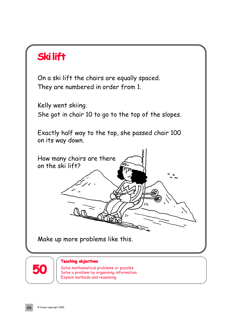## **Ski lift**

On a ski lift the chairs are equally spaced. They are numbered in order from 1.

Kelly went skiing. She got in chair 10 to go to the top of the slopes.

Exactly half way to the top, she passed chair 100 on its way down.

How many chairs are there on the ski lift? ra. فكرعا

Make up more problems like this.



### **Teaching objectives**

**50** Solve mathematical problems or puzzles. Solve a problem by organising information. Explain methods and reasoning.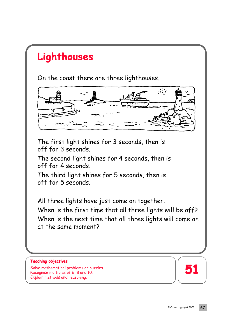## **Lighthouses Lighthouses**

On the coast there are three lighthouses.



The first light shines for 3 seconds, then is off for 3 seconds.

The second light shines for 4 seconds, then is off for 4 seconds.

The third light shines for 5 seconds, then is off for 5 seconds.

All three lights have just come on together. When is the first time that all three lights will be off? When is the next time that all three lights will come on at the same moment?

## **Teaching objectives**

Solve mathematical problems or puzzles.<br>Pessential multiples of 6, 8 and 10. Recognise multiples of 6, 8 and 10. Explain methods and reasoning.